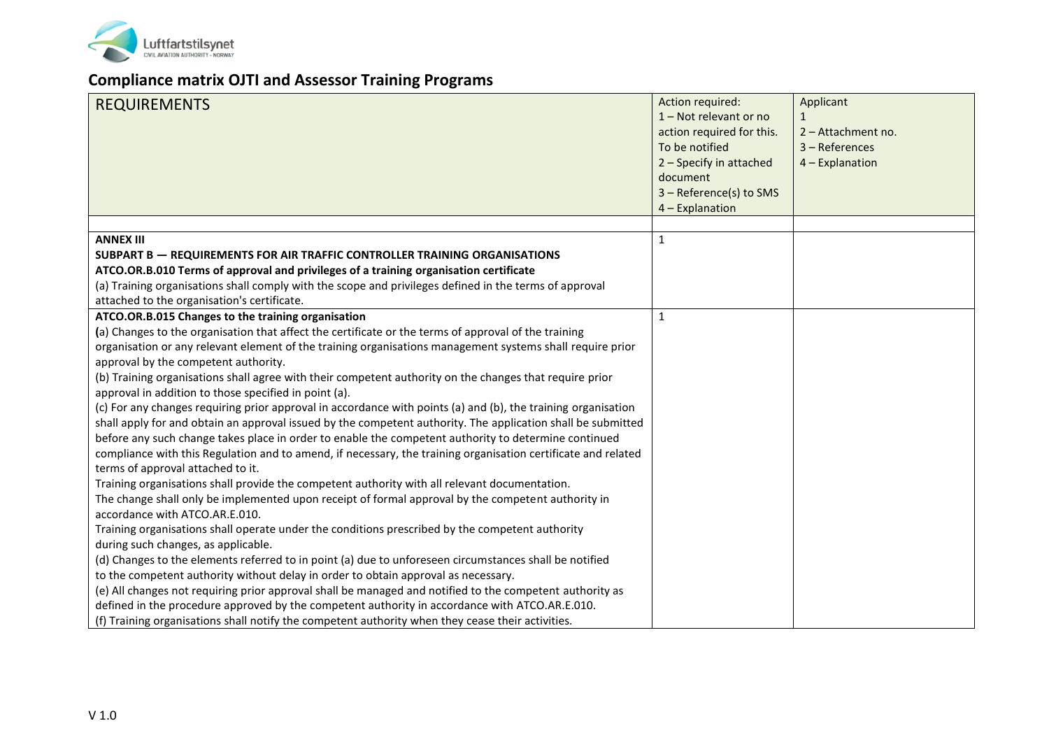

## **Compliance matrix OJTI and Assessor Training Programs**

| <b>REQUIREMENTS</b>                                                                                                                                                                                                                                                                                                                                                                                                                                                                                                                                                                                                                                                                                                                                                                                                                                                                                                                                                                                                                                                                                                                                                                                                                                                                                                                                                                                                                                                                                                                                                                                                                                                                                                                                                                                                                                                                      | Action required:<br>1 - Not relevant or no<br>action required for this.<br>To be notified<br>2 - Specify in attached<br>document<br>3 - Reference(s) to SMS | Applicant<br>2 - Attachment no.<br>3 - References<br>4 - Explanation |
|------------------------------------------------------------------------------------------------------------------------------------------------------------------------------------------------------------------------------------------------------------------------------------------------------------------------------------------------------------------------------------------------------------------------------------------------------------------------------------------------------------------------------------------------------------------------------------------------------------------------------------------------------------------------------------------------------------------------------------------------------------------------------------------------------------------------------------------------------------------------------------------------------------------------------------------------------------------------------------------------------------------------------------------------------------------------------------------------------------------------------------------------------------------------------------------------------------------------------------------------------------------------------------------------------------------------------------------------------------------------------------------------------------------------------------------------------------------------------------------------------------------------------------------------------------------------------------------------------------------------------------------------------------------------------------------------------------------------------------------------------------------------------------------------------------------------------------------------------------------------------------------|-------------------------------------------------------------------------------------------------------------------------------------------------------------|----------------------------------------------------------------------|
|                                                                                                                                                                                                                                                                                                                                                                                                                                                                                                                                                                                                                                                                                                                                                                                                                                                                                                                                                                                                                                                                                                                                                                                                                                                                                                                                                                                                                                                                                                                                                                                                                                                                                                                                                                                                                                                                                          | 4 - Explanation                                                                                                                                             |                                                                      |
| <b>ANNEX III</b><br><b>SUBPART B - REQUIREMENTS FOR AIR TRAFFIC CONTROLLER TRAINING ORGANISATIONS</b><br>ATCO.OR.B.010 Terms of approval and privileges of a training organisation certificate<br>(a) Training organisations shall comply with the scope and privileges defined in the terms of approval<br>attached to the organisation's certificate.                                                                                                                                                                                                                                                                                                                                                                                                                                                                                                                                                                                                                                                                                                                                                                                                                                                                                                                                                                                                                                                                                                                                                                                                                                                                                                                                                                                                                                                                                                                                  | $\mathbf{1}$                                                                                                                                                |                                                                      |
| ATCO.OR.B.015 Changes to the training organisation<br>(a) Changes to the organisation that affect the certificate or the terms of approval of the training<br>organisation or any relevant element of the training organisations management systems shall require prior<br>approval by the competent authority.<br>(b) Training organisations shall agree with their competent authority on the changes that require prior<br>approval in addition to those specified in point (a).<br>(c) For any changes requiring prior approval in accordance with points (a) and (b), the training organisation<br>shall apply for and obtain an approval issued by the competent authority. The application shall be submitted<br>before any such change takes place in order to enable the competent authority to determine continued<br>compliance with this Regulation and to amend, if necessary, the training organisation certificate and related<br>terms of approval attached to it.<br>Training organisations shall provide the competent authority with all relevant documentation.<br>The change shall only be implemented upon receipt of formal approval by the competent authority in<br>accordance with ATCO.AR.E.010.<br>Training organisations shall operate under the conditions prescribed by the competent authority<br>during such changes, as applicable.<br>(d) Changes to the elements referred to in point (a) due to unforeseen circumstances shall be notified<br>to the competent authority without delay in order to obtain approval as necessary.<br>(e) All changes not requiring prior approval shall be managed and notified to the competent authority as<br>defined in the procedure approved by the competent authority in accordance with ATCO.AR.E.010.<br>(f) Training organisations shall notify the competent authority when they cease their activities. | $\mathbf{1}$                                                                                                                                                |                                                                      |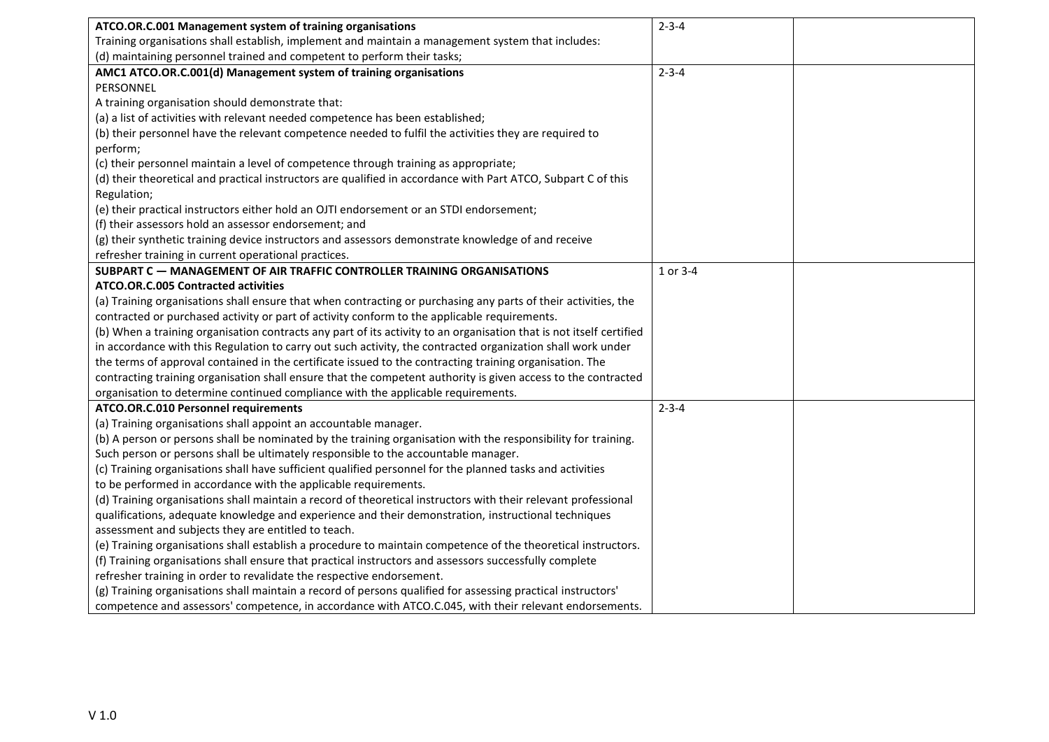| ATCO.OR.C.001 Management system of training organisations                                                                    | $2 - 3 - 4$ |  |
|------------------------------------------------------------------------------------------------------------------------------|-------------|--|
| Training organisations shall establish, implement and maintain a management system that includes:                            |             |  |
| (d) maintaining personnel trained and competent to perform their tasks;                                                      |             |  |
| AMC1 ATCO.OR.C.001(d) Management system of training organisations                                                            | $2 - 3 - 4$ |  |
| PERSONNEL                                                                                                                    |             |  |
| A training organisation should demonstrate that:                                                                             |             |  |
| (a) a list of activities with relevant needed competence has been established;                                               |             |  |
| (b) their personnel have the relevant competence needed to fulfil the activities they are required to                        |             |  |
| perform;                                                                                                                     |             |  |
| (c) their personnel maintain a level of competence through training as appropriate;                                          |             |  |
| (d) their theoretical and practical instructors are qualified in accordance with Part ATCO, Subpart C of this<br>Regulation; |             |  |
| (e) their practical instructors either hold an OJTI endorsement or an STDI endorsement;                                      |             |  |
| (f) their assessors hold an assessor endorsement; and                                                                        |             |  |
| (g) their synthetic training device instructors and assessors demonstrate knowledge of and receive                           |             |  |
| refresher training in current operational practices.                                                                         |             |  |
| <b>SUBPART C - MANAGEMENT OF AIR TRAFFIC CONTROLLER TRAINING ORGANISATIONS</b>                                               | 1 or 3-4    |  |
| <b>ATCO.OR.C.005 Contracted activities</b>                                                                                   |             |  |
| (a) Training organisations shall ensure that when contracting or purchasing any parts of their activities, the               |             |  |
| contracted or purchased activity or part of activity conform to the applicable requirements.                                 |             |  |
| (b) When a training organisation contracts any part of its activity to an organisation that is not itself certified          |             |  |
| in accordance with this Regulation to carry out such activity, the contracted organization shall work under                  |             |  |
| the terms of approval contained in the certificate issued to the contracting training organisation. The                      |             |  |
| contracting training organisation shall ensure that the competent authority is given access to the contracted                |             |  |
| organisation to determine continued compliance with the applicable requirements.                                             |             |  |
| ATCO.OR.C.010 Personnel requirements                                                                                         | $2 - 3 - 4$ |  |
| (a) Training organisations shall appoint an accountable manager.                                                             |             |  |
| (b) A person or persons shall be nominated by the training organisation with the responsibility for training.                |             |  |
| Such person or persons shall be ultimately responsible to the accountable manager.                                           |             |  |
| (c) Training organisations shall have sufficient qualified personnel for the planned tasks and activities                    |             |  |
| to be performed in accordance with the applicable requirements.                                                              |             |  |
| (d) Training organisations shall maintain a record of theoretical instructors with their relevant professional               |             |  |
| qualifications, adequate knowledge and experience and their demonstration, instructional techniques                          |             |  |
| assessment and subjects they are entitled to teach.                                                                          |             |  |
| (e) Training organisations shall establish a procedure to maintain competence of the theoretical instructors.                |             |  |
| (f) Training organisations shall ensure that practical instructors and assessors successfully complete                       |             |  |
| refresher training in order to revalidate the respective endorsement.                                                        |             |  |
| (g) Training organisations shall maintain a record of persons qualified for assessing practical instructors'                 |             |  |
| competence and assessors' competence, in accordance with ATCO.C.045, with their relevant endorsements.                       |             |  |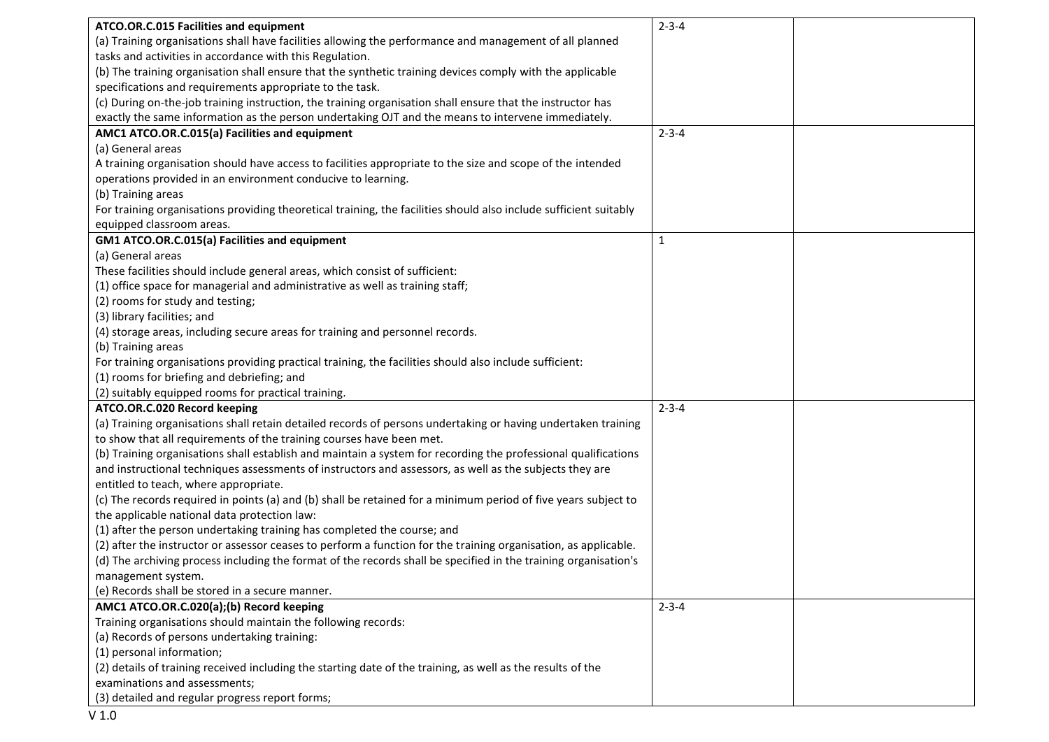| ATCO.OR.C.015 Facilities and equipment                                                                            | $2 - 3 - 4$  |
|-------------------------------------------------------------------------------------------------------------------|--------------|
| (a) Training organisations shall have facilities allowing the performance and management of all planned           |              |
| tasks and activities in accordance with this Regulation.                                                          |              |
| (b) The training organisation shall ensure that the synthetic training devices comply with the applicable         |              |
| specifications and requirements appropriate to the task.                                                          |              |
| (c) During on-the-job training instruction, the training organisation shall ensure that the instructor has        |              |
| exactly the same information as the person undertaking OJT and the means to intervene immediately.                |              |
| AMC1 ATCO.OR.C.015(a) Facilities and equipment                                                                    | $2 - 3 - 4$  |
| (a) General areas                                                                                                 |              |
| A training organisation should have access to facilities appropriate to the size and scope of the intended        |              |
| operations provided in an environment conducive to learning.                                                      |              |
| (b) Training areas                                                                                                |              |
| For training organisations providing theoretical training, the facilities should also include sufficient suitably |              |
| equipped classroom areas.                                                                                         |              |
| GM1 ATCO.OR.C.015(a) Facilities and equipment                                                                     | $\mathbf{1}$ |
| (a) General areas                                                                                                 |              |
| These facilities should include general areas, which consist of sufficient:                                       |              |
| (1) office space for managerial and administrative as well as training staff;                                     |              |
| (2) rooms for study and testing;                                                                                  |              |
| (3) library facilities; and                                                                                       |              |
| (4) storage areas, including secure areas for training and personnel records.                                     |              |
| (b) Training areas                                                                                                |              |
| For training organisations providing practical training, the facilities should also include sufficient:           |              |
| (1) rooms for briefing and debriefing; and                                                                        |              |
| (2) suitably equipped rooms for practical training.                                                               |              |
| ATCO.OR.C.020 Record keeping                                                                                      | $2 - 3 - 4$  |
| (a) Training organisations shall retain detailed records of persons undertaking or having undertaken training     |              |
| to show that all requirements of the training courses have been met.                                              |              |
| (b) Training organisations shall establish and maintain a system for recording the professional qualifications    |              |
| and instructional techniques assessments of instructors and assessors, as well as the subjects they are           |              |
| entitled to teach, where appropriate.                                                                             |              |
| (c) The records required in points (a) and (b) shall be retained for a minimum period of five years subject to    |              |
| the applicable national data protection law:                                                                      |              |
| (1) after the person undertaking training has completed the course; and                                           |              |
| (2) after the instructor or assessor ceases to perform a function for the training organisation, as applicable.   |              |
| (d) The archiving process including the format of the records shall be specified in the training organisation's   |              |
| management system.                                                                                                |              |
| (e) Records shall be stored in a secure manner.                                                                   |              |
| AMC1 ATCO.OR.C.020(a);(b) Record keeping                                                                          | $2 - 3 - 4$  |
| Training organisations should maintain the following records:                                                     |              |
| (a) Records of persons undertaking training:                                                                      |              |
| (1) personal information;                                                                                         |              |
| (2) details of training received including the starting date of the training, as well as the results of the       |              |
| examinations and assessments;                                                                                     |              |
| (3) detailed and regular progress report forms;                                                                   |              |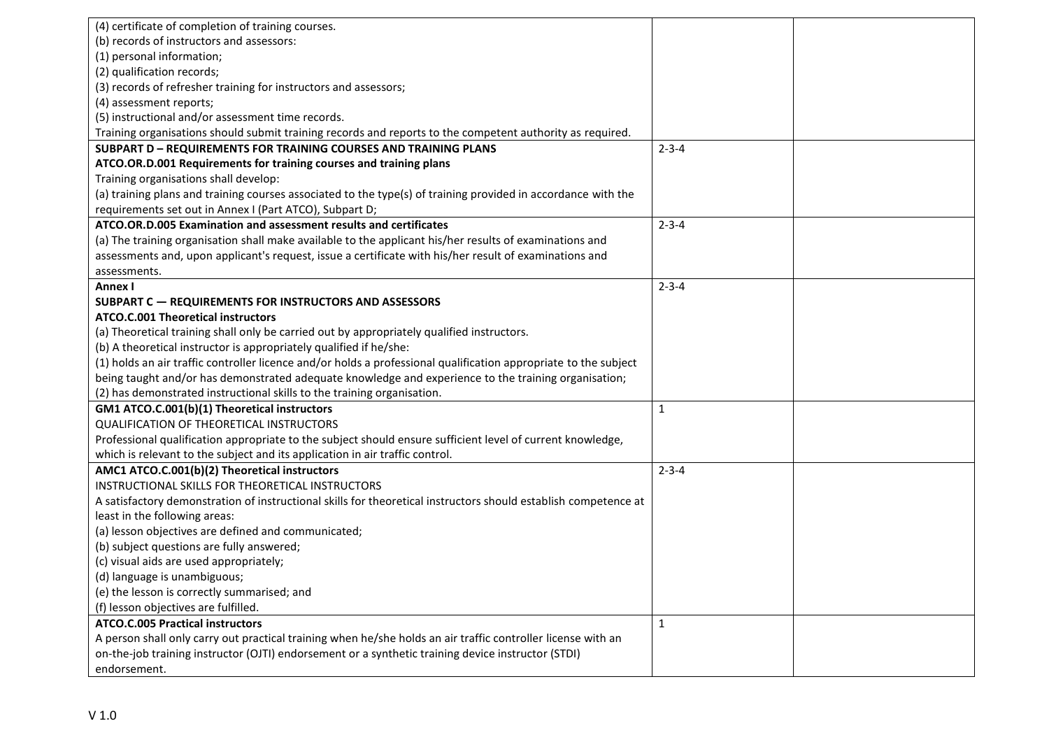| (4) certificate of completion of training courses.                                                               |              |  |
|------------------------------------------------------------------------------------------------------------------|--------------|--|
| (b) records of instructors and assessors:                                                                        |              |  |
| (1) personal information;                                                                                        |              |  |
| (2) qualification records;                                                                                       |              |  |
| (3) records of refresher training for instructors and assessors;                                                 |              |  |
| (4) assessment reports;                                                                                          |              |  |
| (5) instructional and/or assessment time records.                                                                |              |  |
| Training organisations should submit training records and reports to the competent authority as required.        |              |  |
| <b>SUBPART D - REQUIREMENTS FOR TRAINING COURSES AND TRAINING PLANS</b>                                          | $2 - 3 - 4$  |  |
| ATCO.OR.D.001 Requirements for training courses and training plans                                               |              |  |
| Training organisations shall develop:                                                                            |              |  |
| (a) training plans and training courses associated to the type(s) of training provided in accordance with the    |              |  |
| requirements set out in Annex I (Part ATCO), Subpart D;                                                          |              |  |
| ATCO.OR.D.005 Examination and assessment results and certificates                                                | $2 - 3 - 4$  |  |
| (a) The training organisation shall make available to the applicant his/her results of examinations and          |              |  |
| assessments and, upon applicant's request, issue a certificate with his/her result of examinations and           |              |  |
| assessments.                                                                                                     |              |  |
| Annex I                                                                                                          | $2 - 3 - 4$  |  |
| SUBPART C - REQUIREMENTS FOR INSTRUCTORS AND ASSESSORS                                                           |              |  |
| <b>ATCO.C.001 Theoretical instructors</b>                                                                        |              |  |
| (a) Theoretical training shall only be carried out by appropriately qualified instructors.                       |              |  |
| (b) A theoretical instructor is appropriately qualified if he/she:                                               |              |  |
| (1) holds an air traffic controller licence and/or holds a professional qualification appropriate to the subject |              |  |
| being taught and/or has demonstrated adequate knowledge and experience to the training organisation;             |              |  |
| (2) has demonstrated instructional skills to the training organisation.                                          |              |  |
| GM1 ATCO.C.001(b)(1) Theoretical instructors                                                                     | $\mathbf{1}$ |  |
| QUALIFICATION OF THEORETICAL INSTRUCTORS                                                                         |              |  |
| Professional qualification appropriate to the subject should ensure sufficient level of current knowledge,       |              |  |
| which is relevant to the subject and its application in air traffic control.                                     |              |  |
| AMC1 ATCO.C.001(b)(2) Theoretical instructors                                                                    | $2 - 3 - 4$  |  |
| INSTRUCTIONAL SKILLS FOR THEORETICAL INSTRUCTORS                                                                 |              |  |
| A satisfactory demonstration of instructional skills for theoretical instructors should establish competence at  |              |  |
| least in the following areas:                                                                                    |              |  |
| (a) lesson objectives are defined and communicated;                                                              |              |  |
| (b) subject questions are fully answered;                                                                        |              |  |
| (c) visual aids are used appropriately;                                                                          |              |  |
| (d) language is unambiguous;                                                                                     |              |  |
| (e) the lesson is correctly summarised; and                                                                      |              |  |
| (f) lesson objectives are fulfilled.                                                                             |              |  |
| <b>ATCO.C.005 Practical instructors</b>                                                                          | 1            |  |
| A person shall only carry out practical training when he/she holds an air traffic controller license with an     |              |  |
| on-the-job training instructor (OJTI) endorsement or a synthetic training device instructor (STDI)               |              |  |
| endorsement.                                                                                                     |              |  |
|                                                                                                                  |              |  |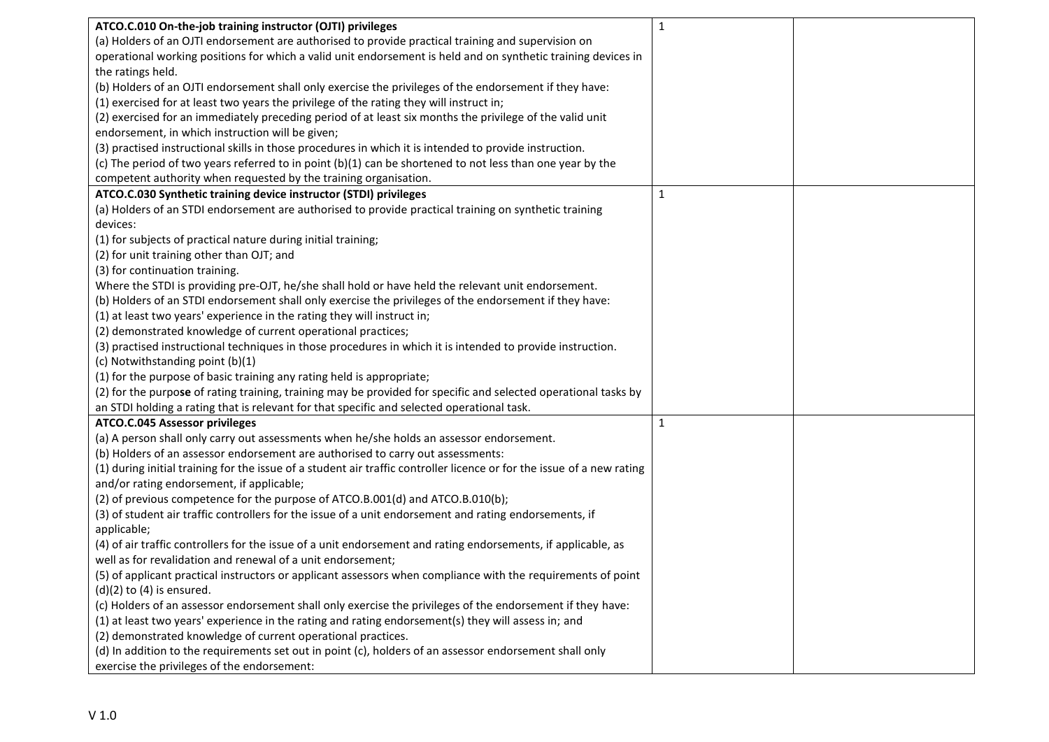| ATCO.C.010 On-the-job training instructor (OJTI) privileges                                                            | $\mathbf 1$  |  |
|------------------------------------------------------------------------------------------------------------------------|--------------|--|
| (a) Holders of an OJTI endorsement are authorised to provide practical training and supervision on                     |              |  |
| operational working positions for which a valid unit endorsement is held and on synthetic training devices in          |              |  |
| the ratings held.                                                                                                      |              |  |
| (b) Holders of an OJTI endorsement shall only exercise the privileges of the endorsement if they have:                 |              |  |
| (1) exercised for at least two years the privilege of the rating they will instruct in;                                |              |  |
| (2) exercised for an immediately preceding period of at least six months the privilege of the valid unit               |              |  |
| endorsement, in which instruction will be given;                                                                       |              |  |
| (3) practised instructional skills in those procedures in which it is intended to provide instruction.                 |              |  |
| (c) The period of two years referred to in point (b)(1) can be shortened to not less than one year by the              |              |  |
| competent authority when requested by the training organisation.                                                       |              |  |
| ATCO.C.030 Synthetic training device instructor (STDI) privileges                                                      | $\mathbf{1}$ |  |
| (a) Holders of an STDI endorsement are authorised to provide practical training on synthetic training                  |              |  |
| devices:                                                                                                               |              |  |
| (1) for subjects of practical nature during initial training;                                                          |              |  |
| (2) for unit training other than OJT; and                                                                              |              |  |
| (3) for continuation training.                                                                                         |              |  |
| Where the STDI is providing pre-OJT, he/she shall hold or have held the relevant unit endorsement.                     |              |  |
| (b) Holders of an STDI endorsement shall only exercise the privileges of the endorsement if they have:                 |              |  |
| (1) at least two years' experience in the rating they will instruct in;                                                |              |  |
| (2) demonstrated knowledge of current operational practices;                                                           |              |  |
| (3) practised instructional techniques in those procedures in which it is intended to provide instruction.             |              |  |
| (c) Notwithstanding point (b)(1)                                                                                       |              |  |
| (1) for the purpose of basic training any rating held is appropriate;                                                  |              |  |
| (2) for the purpose of rating training, training may be provided for specific and selected operational tasks by        |              |  |
| an STDI holding a rating that is relevant for that specific and selected operational task.                             |              |  |
| ATCO.C.045 Assessor privileges                                                                                         | $\mathbf{1}$ |  |
| (a) A person shall only carry out assessments when he/she holds an assessor endorsement.                               |              |  |
| (b) Holders of an assessor endorsement are authorised to carry out assessments:                                        |              |  |
| (1) during initial training for the issue of a student air traffic controller licence or for the issue of a new rating |              |  |
| and/or rating endorsement, if applicable;                                                                              |              |  |
| (2) of previous competence for the purpose of ATCO.B.001(d) and ATCO.B.010(b);                                         |              |  |
| (3) of student air traffic controllers for the issue of a unit endorsement and rating endorsements, if                 |              |  |
| applicable;                                                                                                            |              |  |
| (4) of air traffic controllers for the issue of a unit endorsement and rating endorsements, if applicable, as          |              |  |
| well as for revalidation and renewal of a unit endorsement;                                                            |              |  |
| (5) of applicant practical instructors or applicant assessors when compliance with the requirements of point           |              |  |
| $(d)(2)$ to $(4)$ is ensured.                                                                                          |              |  |
| (c) Holders of an assessor endorsement shall only exercise the privileges of the endorsement if they have:             |              |  |
| (1) at least two years' experience in the rating and rating endorsement(s) they will assess in; and                    |              |  |
| (2) demonstrated knowledge of current operational practices.                                                           |              |  |
| (d) In addition to the requirements set out in point (c), holders of an assessor endorsement shall only                |              |  |
| exercise the privileges of the endorsement:                                                                            |              |  |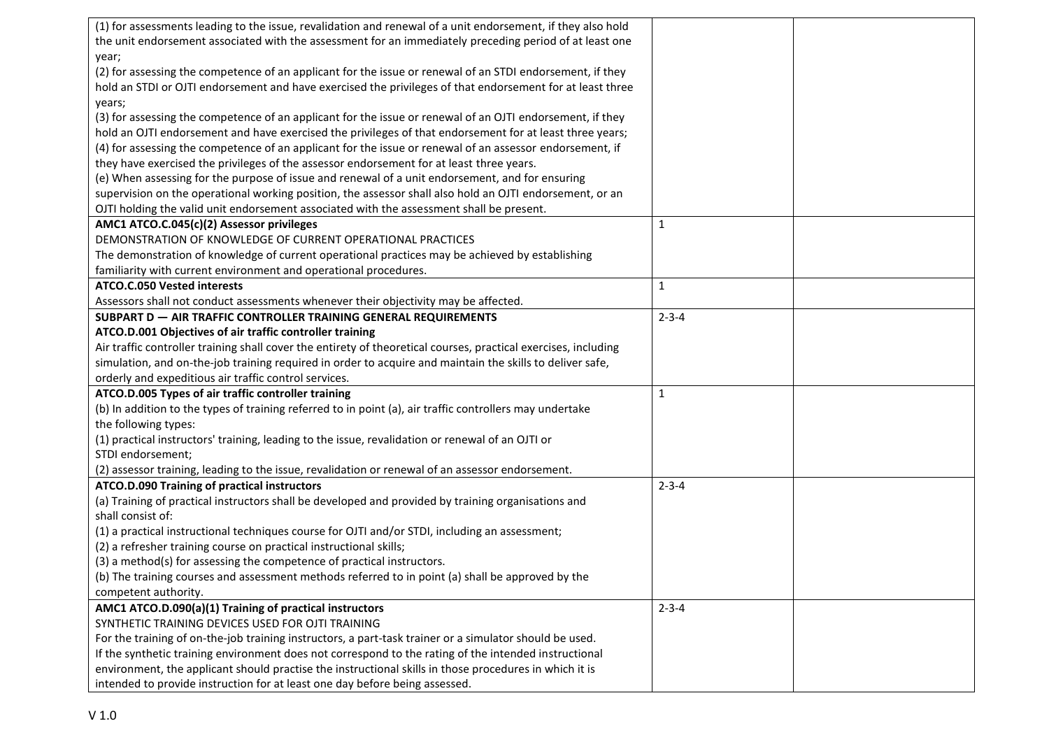| (1) for assessments leading to the issue, revalidation and renewal of a unit endorsement, if they also hold     |              |  |
|-----------------------------------------------------------------------------------------------------------------|--------------|--|
| the unit endorsement associated with the assessment for an immediately preceding period of at least one         |              |  |
| year;                                                                                                           |              |  |
| (2) for assessing the competence of an applicant for the issue or renewal of an STDI endorsement, if they       |              |  |
| hold an STDI or OJTI endorsement and have exercised the privileges of that endorsement for at least three       |              |  |
| years;                                                                                                          |              |  |
| (3) for assessing the competence of an applicant for the issue or renewal of an OJTI endorsement, if they       |              |  |
| hold an OJTI endorsement and have exercised the privileges of that endorsement for at least three years;        |              |  |
| (4) for assessing the competence of an applicant for the issue or renewal of an assessor endorsement, if        |              |  |
| they have exercised the privileges of the assessor endorsement for at least three years.                        |              |  |
| (e) When assessing for the purpose of issue and renewal of a unit endorsement, and for ensuring                 |              |  |
| supervision on the operational working position, the assessor shall also hold an OJTI endorsement, or an        |              |  |
| OJTI holding the valid unit endorsement associated with the assessment shall be present.                        |              |  |
| AMC1 ATCO.C.045(c)(2) Assessor privileges                                                                       | $\mathbf{1}$ |  |
| DEMONSTRATION OF KNOWLEDGE OF CURRENT OPERATIONAL PRACTICES                                                     |              |  |
| The demonstration of knowledge of current operational practices may be achieved by establishing                 |              |  |
| familiarity with current environment and operational procedures.                                                |              |  |
| <b>ATCO.C.050 Vested interests</b>                                                                              | $\mathbf{1}$ |  |
| Assessors shall not conduct assessments whenever their objectivity may be affected.                             |              |  |
| <b>SUBPART D - AIR TRAFFIC CONTROLLER TRAINING GENERAL REQUIREMENTS</b>                                         | $2 - 3 - 4$  |  |
| ATCO.D.001 Objectives of air traffic controller training                                                        |              |  |
| Air traffic controller training shall cover the entirety of theoretical courses, practical exercises, including |              |  |
| simulation, and on-the-job training required in order to acquire and maintain the skills to deliver safe,       |              |  |
| orderly and expeditious air traffic control services.                                                           |              |  |
| ATCO.D.005 Types of air traffic controller training                                                             | $\mathbf{1}$ |  |
| (b) In addition to the types of training referred to in point (a), air traffic controllers may undertake        |              |  |
| the following types:                                                                                            |              |  |
| (1) practical instructors' training, leading to the issue, revalidation or renewal of an OJTI or                |              |  |
| STDI endorsement;                                                                                               |              |  |
| (2) assessor training, leading to the issue, revalidation or renewal of an assessor endorsement.                |              |  |
| ATCO.D.090 Training of practical instructors                                                                    | $2 - 3 - 4$  |  |
| (a) Training of practical instructors shall be developed and provided by training organisations and             |              |  |
| shall consist of:                                                                                               |              |  |
| (1) a practical instructional techniques course for OJTI and/or STDI, including an assessment;                  |              |  |
| (2) a refresher training course on practical instructional skills;                                              |              |  |
| (3) a method(s) for assessing the competence of practical instructors.                                          |              |  |
|                                                                                                                 |              |  |
| (b) The training courses and assessment methods referred to in point (a) shall be approved by the               |              |  |
| competent authority.<br>AMC1 ATCO.D.090(a)(1) Training of practical instructors                                 | $2 - 3 - 4$  |  |
| SYNTHETIC TRAINING DEVICES USED FOR OJTI TRAINING                                                               |              |  |
|                                                                                                                 |              |  |
| For the training of on-the-job training instructors, a part-task trainer or a simulator should be used.         |              |  |
| If the synthetic training environment does not correspond to the rating of the intended instructional           |              |  |
| environment, the applicant should practise the instructional skills in those procedures in which it is          |              |  |
| intended to provide instruction for at least one day before being assessed.                                     |              |  |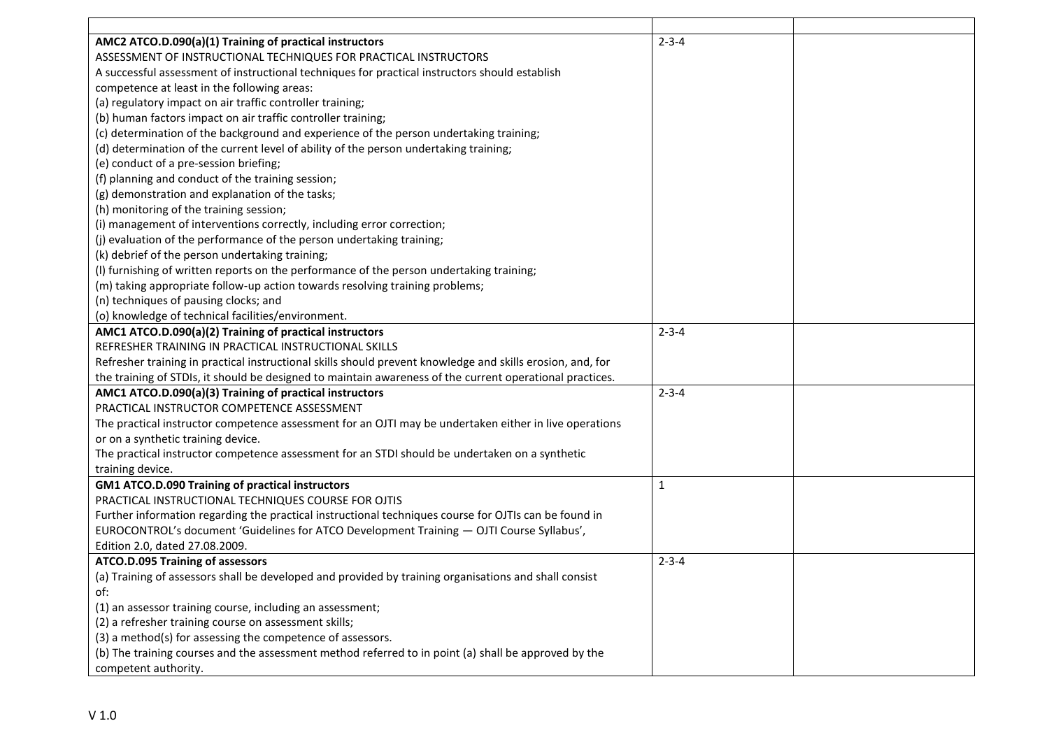| AMC2 ATCO.D.090(a)(1) Training of practical instructors                                                    | $2 - 3 - 4$  |  |
|------------------------------------------------------------------------------------------------------------|--------------|--|
| ASSESSMENT OF INSTRUCTIONAL TECHNIQUES FOR PRACTICAL INSTRUCTORS                                           |              |  |
| A successful assessment of instructional techniques for practical instructors should establish             |              |  |
| competence at least in the following areas:                                                                |              |  |
| (a) regulatory impact on air traffic controller training;                                                  |              |  |
| (b) human factors impact on air traffic controller training;                                               |              |  |
| (c) determination of the background and experience of the person undertaking training;                     |              |  |
| (d) determination of the current level of ability of the person undertaking training;                      |              |  |
| (e) conduct of a pre-session briefing;                                                                     |              |  |
| (f) planning and conduct of the training session;                                                          |              |  |
| (g) demonstration and explanation of the tasks;                                                            |              |  |
| (h) monitoring of the training session;                                                                    |              |  |
| (i) management of interventions correctly, including error correction;                                     |              |  |
| (j) evaluation of the performance of the person undertaking training;                                      |              |  |
| (k) debrief of the person undertaking training;                                                            |              |  |
| (I) furnishing of written reports on the performance of the person undertaking training;                   |              |  |
| (m) taking appropriate follow-up action towards resolving training problems;                               |              |  |
| (n) techniques of pausing clocks; and                                                                      |              |  |
| (o) knowledge of technical facilities/environment.                                                         |              |  |
| AMC1 ATCO.D.090(a)(2) Training of practical instructors                                                    | $2 - 3 - 4$  |  |
| REFRESHER TRAINING IN PRACTICAL INSTRUCTIONAL SKILLS                                                       |              |  |
| Refresher training in practical instructional skills should prevent knowledge and skills erosion, and, for |              |  |
| the training of STDIs, it should be designed to maintain awareness of the current operational practices.   |              |  |
| AMC1 ATCO.D.090(a)(3) Training of practical instructors                                                    | $2 - 3 - 4$  |  |
| PRACTICAL INSTRUCTOR COMPETENCE ASSESSMENT                                                                 |              |  |
| The practical instructor competence assessment for an OJTI may be undertaken either in live operations     |              |  |
| or on a synthetic training device.                                                                         |              |  |
| The practical instructor competence assessment for an STDI should be undertaken on a synthetic             |              |  |
| training device.                                                                                           |              |  |
| <b>GM1 ATCO.D.090 Training of practical instructors</b>                                                    | $\mathbf{1}$ |  |
| PRACTICAL INSTRUCTIONAL TECHNIQUES COURSE FOR OJTIS                                                        |              |  |
| Further information regarding the practical instructional techniques course for OJTIs can be found in      |              |  |
| EUROCONTROL's document 'Guidelines for ATCO Development Training - OJTI Course Syllabus',                  |              |  |
| Edition 2.0, dated 27.08.2009.                                                                             |              |  |
| ATCO.D.095 Training of assessors                                                                           | $2 - 3 - 4$  |  |
| (a) Training of assessors shall be developed and provided by training organisations and shall consist      |              |  |
| ot:                                                                                                        |              |  |
| (1) an assessor training course, including an assessment;                                                  |              |  |
| (2) a refresher training course on assessment skills;                                                      |              |  |
| (3) a method(s) for assessing the competence of assessors.                                                 |              |  |
| (b) The training courses and the assessment method referred to in point (a) shall be approved by the       |              |  |
| competent authority.                                                                                       |              |  |